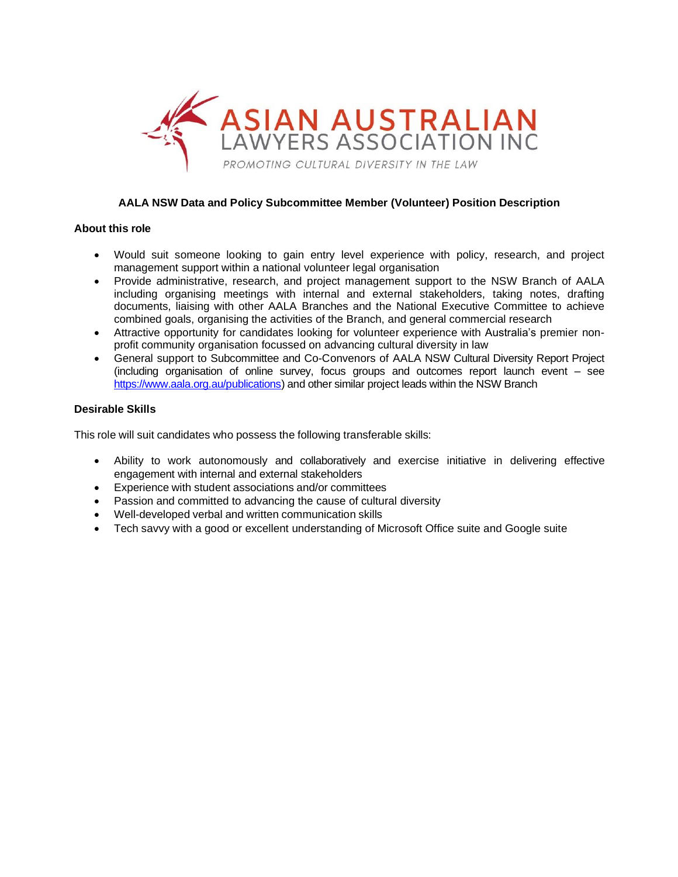

# **AALA NSW Data and Policy Subcommittee Member (Volunteer) Position Description**

#### **About this role**

- Would suit someone looking to gain entry level experience with policy, research, and project management support within a national volunteer legal organisation
- Provide administrative, research, and project management support to the NSW Branch of AALA including organising meetings with internal and external stakeholders, taking notes, drafting documents, liaising with other AALA Branches and the National Executive Committee to achieve combined goals, organising the activities of the Branch, and general commercial research
- Attractive opportunity for candidates looking for volunteer experience with Australia's premier nonprofit community organisation focussed on advancing cultural diversity in law
- General support to Subcommittee and Co-Convenors of AALA NSW Cultural Diversity Report Project (including organisation of online survey, focus groups and outcomes report launch event – see [https://www.aala.org.au/publications\)](https://www.aala.org.au/publications) and other similar project leads within the NSW Branch

### **Desirable Skills**

This role will suit candidates who possess the following transferable skills:

- Ability to work autonomously and collaboratively and exercise initiative in delivering effective engagement with internal and external stakeholders
- Experience with student associations and/or committees
- Passion and committed to advancing the cause of cultural diversity
- Well-developed verbal and written communication skills
- Tech savvy with a good or excellent understanding of Microsoft Office suite and Google suite